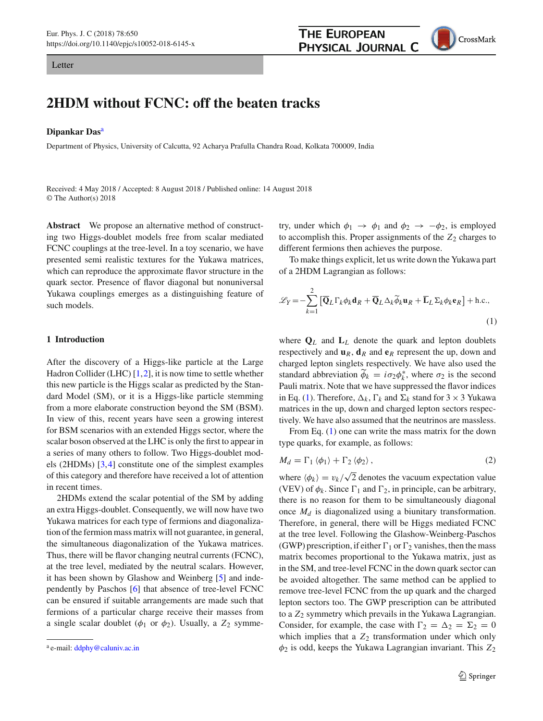Letter

# **2HDM without FCNC: off the beaten tracks**

### **Dipankar Das**<sup>a</sup>

Department of Physics, University of Calcutta, 92 Acharya Prafulla Chandra Road, Kolkata 700009, India

Received: 4 May 2018 / Accepted: 8 August 2018 / Published online: 14 August 2018 © The Author(s) 2018

**Abstract** We propose an alternative method of constructing two Higgs-doublet models free from scalar mediated FCNC couplings at the tree-level. In a toy scenario, we have presented semi realistic textures for the Yukawa matrices, which can reproduce the approximate flavor structure in the quark sector. Presence of flavor diagonal but nonuniversal Yukawa couplings emerges as a distinguishing feature of such models.

## **1 Introduction**

After the discovery of a Higgs-like particle at the Large Hadron Collider (LHC)  $[1,2]$  $[1,2]$  $[1,2]$ , it is now time to settle whether this new particle is the Higgs scalar as predicted by the Standard Model (SM), or it is a Higgs-like particle stemming from a more elaborate construction beyond the SM (BSM). In view of this, recent years have seen a growing interest for BSM scenarios with an extended Higgs sector, where the scalar boson observed at the LHC is only the first to appear in a series of many others to follow. Two Higgs-doublet models (2HDMs) [\[3](#page-4-2)[,4](#page-4-3)] constitute one of the simplest examples of this category and therefore have received a lot of attention in recent times.

2HDMs extend the scalar potential of the SM by adding an extra Higgs-doublet. Consequently, we will now have two Yukawa matrices for each type of fermions and diagonalization of the fermion mass matrix will not guarantee, in general, the simultaneous diagonalization of the Yukawa matrices. Thus, there will be flavor changing neutral currents (FCNC), at the tree level, mediated by the neutral scalars. However, it has been shown by Glashow and Weinberg [\[5\]](#page-4-4) and independently by Paschos [\[6\]](#page-4-5) that absence of tree-level FCNC can be ensured if suitable arrangements are made such that fermions of a particular charge receive their masses from a single scalar doublet ( $\phi_1$  or  $\phi_2$ ). Usually, a  $Z_2$  symmetry, under which  $\phi_1 \rightarrow \phi_1$  and  $\phi_2 \rightarrow -\phi_2$ , is employed to accomplish this. Proper assignments of the  $Z_2$  charges to different fermions then achieves the purpose.

To make things explicit, let us write down the Yukawa part of a 2HDM Lagrangian as follows:

<span id="page-0-0"></span>
$$
\mathcal{L}_Y = -\sum_{k=1}^2 \left[ \overline{\mathbf{Q}}_L \Gamma_k \phi_k \mathbf{d}_R + \overline{\mathbf{Q}}_L \Delta_k \widetilde{\phi}_k \mathbf{u}_R + \overline{\mathbf{L}}_L \Sigma_k \phi_k \mathbf{e}_R \right] + \text{h.c.},\tag{1}
$$

where  $\mathbf{Q}_L$  and  $\mathbf{L}_L$  denote the quark and lepton doublets respectively and  $\mathbf{u}_R$ ,  $\mathbf{d}_R$  and  $\mathbf{e}_R$  represent the up, down and charged lepton singlets respectively. We have also used the standard abbreviation  $\phi_k = i\sigma_2\phi_k^*$ , where  $\sigma_2$  is the second Pauli matrix. Note that we have suppressed the flavor indices in Eq. [\(1\)](#page-0-0). Therefore,  $\Delta_k$ ,  $\Gamma_k$  and  $\Sigma_k$  stand for 3  $\times$  3 Yukawa matrices in the up, down and charged lepton sectors respectively. We have also assumed that the neutrinos are massless.

From Eq. [\(1\)](#page-0-0) one can write the mass matrix for the down type quarks, for example, as follows:

<span id="page-0-1"></span>
$$
M_d = \Gamma_1 \langle \phi_1 \rangle + \Gamma_2 \langle \phi_2 \rangle, \qquad (2)
$$

where  $\langle \phi_k \rangle = v_k / \sqrt{2}$  denotes the vacuum expectation value (VEV) of  $\phi_k$ . Since  $\Gamma_1$  and  $\Gamma_2$ , in principle, can be arbitrary, there is no reason for them to be simultaneously diagonal once *Md* is diagonalized using a biunitary transformation. Therefore, in general, there will be Higgs mediated FCNC at the tree level. Following the Glashow-Weinberg-Paschos (GWP) prescription, if either  $\Gamma_1$  or  $\Gamma_2$  vanishes, then the mass matrix becomes proportional to the Yukawa matrix, just as in the SM, and tree-level FCNC in the down quark sector can be avoided altogether. The same method can be applied to remove tree-level FCNC from the up quark and the charged lepton sectors too. The GWP prescription can be attributed to a *Z*<sup>2</sup> symmetry which prevails in the Yukawa Lagrangian. Consider, for example, the case with  $\Gamma_2 = \Delta_2 = \Sigma_2 = 0$ which implies that a  $Z_2$  transformation under which only  $\phi_2$  is odd, keeps the Yukawa Lagrangian invariant. This  $Z_2$ 



a e-mail: [ddphy@caluniv.ac.in](mailto:ddphy@caluniv.ac.in)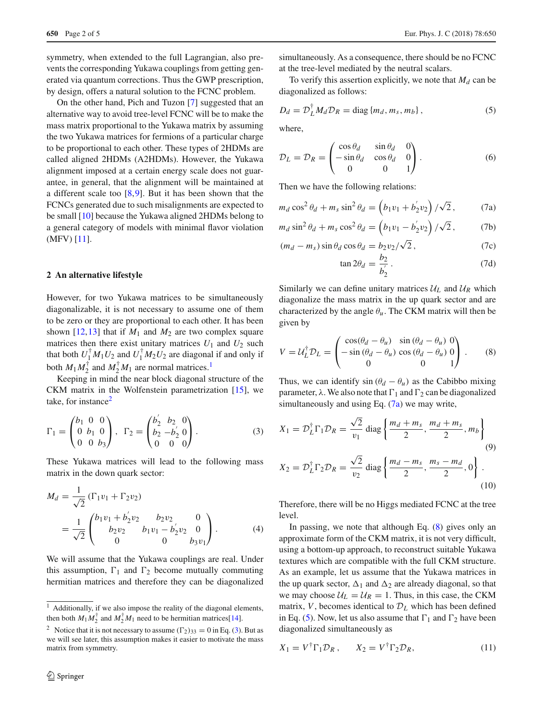symmetry, when extended to the full Lagrangian, also prevents the corresponding Yukawa couplings from getting generated via quantum corrections. Thus the GWP prescription, by design, offers a natural solution to the FCNC problem.

On the other hand, Pich and Tuzon [\[7\]](#page-4-6) suggested that an alternative way to avoid tree-level FCNC will be to make the mass matrix proportional to the Yukawa matrix by assuming the two Yukawa matrices for fermions of a particular charge to be proportional to each other. These types of 2HDMs are called aligned 2HDMs (A2HDMs). However, the Yukawa alignment imposed at a certain energy scale does not guarantee, in general, that the alignment will be maintained at a different scale too [\[8](#page-4-7)[,9](#page-4-8)]. But it has been shown that the FCNCs generated due to such misalignments are expected to be small [\[10](#page-4-9)] because the Yukawa aligned 2HDMs belong to a general category of models with minimal flavor violation (MFV) [\[11](#page-4-10)].

### **2 An alternative lifestyle**

However, for two Yukawa matrices to be simultaneously diagonalizable, it is not necessary to assume one of them to be zero or they are proportional to each other. It has been shown [\[12](#page-4-11),[13\]](#page-4-12) that if  $M_1$  and  $M_2$  are two complex square matrices then there exist unitary matrices  $U_1$  and  $U_2$  such that both  $U_1^{\dagger} M_1 U_2$  and  $U_1^{\dagger} M_2 U_2$  are diagonal if and only if both  $M_1 M_2^{\dagger}$  $M_1 M_2^{\dagger}$  $M_1 M_2^{\dagger}$  and  $M_2^{\dagger} M_1$  are normal matrices.<sup>1</sup>

Keeping in mind the near block diagonal structure of the CKM matrix in the Wolfenstein parametrization [\[15\]](#page-4-13), we take, for instance<sup>[2](#page-1-1)</sup>

<span id="page-1-2"></span>
$$
\Gamma_1 = \begin{pmatrix} b_1 & 0 & 0 \\ 0 & b_1 & 0 \\ 0 & 0 & b_3 \end{pmatrix}, \ \ \Gamma_2 = \begin{pmatrix} b_2' & b_2 & 0 \\ b_2 & -b_2' & 0 \\ 0 & 0 & 0 \end{pmatrix}.
$$
 (3)

These Yukawa matrices will lead to the following mass matrix in the down quark sector:

$$
M_d = \frac{1}{\sqrt{2}} (\Gamma_1 v_1 + \Gamma_2 v_2)
$$
  
= 
$$
\frac{1}{\sqrt{2}} \begin{pmatrix} b_1 v_1 + b_2' v_2 & b_2 v_2 & 0 \\ b_2 v_2 & b_1 v_1 - b_2' v_2 & 0 \\ 0 & 0 & b_3 v_1 \end{pmatrix}.
$$
 (4)

We will assume that the Yukawa couplings are real. Under this assumption,  $\Gamma_1$  and  $\Gamma_2$  become mutually commuting hermitian matrices and therefore they can be diagonalized

simultaneously. As a consequence, there should be no FCNC at the tree-level mediated by the neutral scalars.

To verify this assertion explicitly, we note that  $M_d$  can be diagonalized as follows:

<span id="page-1-5"></span>
$$
D_d = \mathcal{D}_L^{\dagger} M_d \mathcal{D}_R = \text{diag}\{m_d, m_s, m_b\},\tag{5}
$$

where,

$$
\mathcal{D}_L = \mathcal{D}_R = \begin{pmatrix} \cos \theta_d & \sin \theta_d & 0 \\ -\sin \theta_d & \cos \theta_d & 0 \\ 0 & 0 & 1 \end{pmatrix}.
$$
 (6)

Then we have the following relations:

<span id="page-1-3"></span>
$$
m_d \cos^2 \theta_d + m_s \sin^2 \theta_d = \left(b_1 v_1 + b_2' v_2\right) / \sqrt{2}, \quad (7a)
$$

$$
m_d \sin^2 \theta_d + m_s \cos^2 \theta_d = \left(b_1 v_1 - b_2' v_2\right) / \sqrt{2},\tag{7b}
$$

$$
(m_d - m_s) \sin \theta_d \cos \theta_d = b_2 v_2 / \sqrt{2}, \qquad (7c)
$$

$$
\tan 2\theta_d = \frac{b_2}{b_2'}.
$$
\n(7d)

Similarly we can define unitary matrices  $U_L$  and  $U_R$  which diagonalize the mass matrix in the up quark sector and are characterized by the angle  $\theta_u$ . The CKM matrix will then be given by

<span id="page-1-4"></span>
$$
V = U_L^{\dagger} D_L = \begin{pmatrix} \cos(\theta_d - \theta_u) & \sin(\theta_d - \theta_u) & 0 \\ -\sin(\theta_d - \theta_u) & \cos(\theta_d - \theta_u) & 0 \\ 0 & 0 & 1 \end{pmatrix} . \tag{8}
$$

Thus, we can identify  $\sin (\theta_d - \theta_u)$  as the Cabibbo mixing parameter,  $\lambda$ . We also note that  $\Gamma_1$  and  $\Gamma_2$  can be diagonalized simultaneously and using Eq.  $(7a)$  we may write,

$$
X_1 = \mathcal{D}_L^{\dagger} \Gamma_1 \mathcal{D}_R = \frac{\sqrt{2}}{v_1} \operatorname{diag} \left\{ \frac{m_d + m_s}{2}, \frac{m_d + m_s}{2}, m_b \right\}
$$
  
(9)  

$$
X_2 = \mathcal{D}_L^{\dagger} \Gamma_2 \mathcal{D}_R = \frac{\sqrt{2}}{v_2} \operatorname{diag} \left\{ \frac{m_d - m_s}{2}, \frac{m_s - m_d}{2}, 0 \right\}.
$$
  
(10)

Therefore, there will be no Higgs mediated FCNC at the tree level.

In passing, we note that although Eq. [\(8\)](#page-1-4) gives only an approximate form of the CKM matrix, it is not very difficult, using a bottom-up approach, to reconstruct suitable Yukawa textures which are compatible with the full CKM structure. As an example, let us assume that the Yukawa matrices in the up quark sector,  $\Delta_1$  and  $\Delta_2$  are already diagonal, so that we may choose  $U_L = U_R = 1$ . Thus, in this case, the CKM matrix, *V*, becomes identical to  $D<sub>L</sub>$  which has been defined in Eq. [\(5\)](#page-1-5). Now, let us also assume that  $\Gamma_1$  and  $\Gamma_2$  have been diagonalized simultaneously as

<span id="page-1-6"></span>
$$
X_1 = V^{\dagger} \Gamma_1 \mathcal{D}_R \,, \qquad X_2 = V^{\dagger} \Gamma_2 \mathcal{D}_R, \tag{11}
$$

<span id="page-1-0"></span><sup>&</sup>lt;sup>1</sup> Additionally, if we also impose the reality of the diagonal elements, then both  $M_1 M_2^{\dagger}$  and  $M_2^{\dagger} M_1$  need to be hermitian matrices[\[14\]](#page-4-14).

<span id="page-1-1"></span><sup>&</sup>lt;sup>2</sup> Notice that it is not necessary to assume  $(\Gamma_2)_{33} = 0$  in Eq. [\(3\)](#page-1-2). But as we will see later, this assumption makes it easier to motivate the mass matrix from symmetry.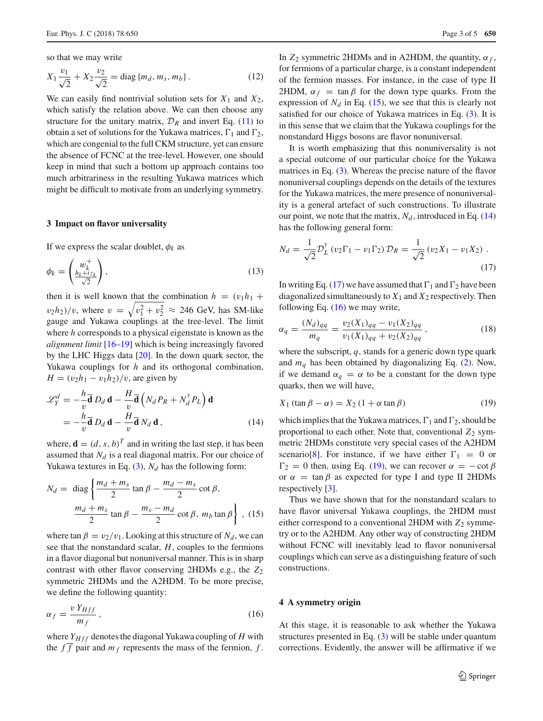so that we may write

$$
X_1 \frac{v_1}{\sqrt{2}} + X_2 \frac{v_2}{\sqrt{2}} = \text{diag}\{m_d, m_s, m_b\}.
$$
 (12)

We can easily find nontrivial solution sets for  $X_1$  and  $X_2$ , which satisfy the relation above. We can then choose any structure for the unitary matrix,  $\mathcal{D}_R$  and invert Eq. [\(11\)](#page-1-6) to obtain a set of solutions for the Yukawa matrices,  $\Gamma_1$  and  $\Gamma_2$ , which are congenial to the full CKM structure, yet can ensure the absence of FCNC at the tree-level. However, one should keep in mind that such a bottom up approach contains too much arbitrariness in the resulting Yukawa matrices which might be difficult to motivate from an underlying symmetry.

## **3 Impact on flavor universality**

If we express the scalar doublet,  $\phi_k$  as

$$
\phi_k = \begin{pmatrix} w_k^+ \\ \frac{h_k + i z_k}{\sqrt{2}} \end{pmatrix},\tag{13}
$$

then it is well known that the combination  $h = (v_1 h_1 +$  $(v_2h_2)/v$ , where  $v = \sqrt{v_1^2 + v_2^2} \approx 246$  GeV, has SM-like gauge and Yukawa couplings at the tree-level. The limit where *h* corresponds to a physical eigenstate is known as the *alignment limit* [\[16](#page-4-15)[–19](#page-4-16)] which is being increasingly favored by the LHC Higgs data [\[20\]](#page-4-17). In the down quark sector, the Yukawa couplings for *h* and its orthogonal combination, *H* =  $(v_2h_1 - v_1h_2)/v$ , are given by

<span id="page-2-1"></span>
$$
\mathcal{L}_Y^d = -\frac{h}{v}\overline{\mathbf{d}} D_d \mathbf{d} - \frac{H}{v}\overline{\mathbf{d}} \left( N_d P_R + N_d^{\dagger} P_L \right) \mathbf{d}
$$
  
= 
$$
-\frac{h}{v}\overline{\mathbf{d}} D_d \mathbf{d} - \frac{H}{v}\overline{\mathbf{d}} N_d \mathbf{d},
$$
 (14)

where,  $\mathbf{d} = (d, s, b)^T$  and in writing the last step, it has been assumed that  $N_d$  is a real diagonal matrix. For our choice of Yukawa textures in Eq.  $(3)$ ,  $N_d$  has the following form:

<span id="page-2-0"></span>
$$
N_d = \text{diag}\left\{\frac{m_d + m_s}{2}\tan\beta - \frac{m_d - m_s}{2}\cot\beta, \frac{m_d + m_s}{2}\tan\beta - \frac{m_s - m_d}{2}\cot\beta, m_b \tan\beta\right\}, (15)
$$

where  $\tan \beta = v_2/v_1$ . Looking at this structure of  $N_d$ , we can see that the nonstandard scalar, *H*, couples to the fermions in a flavor diagonal but nonuniversal manner. This is in sharp contrast with other flavor conserving 2HDMs e.g., the *Z*<sup>2</sup> symmetric 2HDMs and the A2HDM. To be more precise, we define the following quantity:

<span id="page-2-3"></span>
$$
\alpha_f = \frac{v Y_{Hff}}{m_f},\tag{16}
$$

where  $Y_{Hff}$  denotes the diagonal Yukawa coupling of  $H$  with the  $f\overline{f}$  pair and  $m_f$  represents the mass of the fermion,  $f$ .

In  $Z_2$  symmetric 2HDMs and in A2HDM, the quantity,  $\alpha_f$ , for fermions of a particular charge, is a constant independent of the fermion masses. For instance, in the case of type II 2HDM,  $\alpha_f$  = tan  $\beta$  for the down type quarks. From the expression of  $N_d$  in Eq. [\(15\)](#page-2-0), we see that this is clearly not satisfied for our choice of Yukawa matrices in Eq. [\(3\)](#page-1-2). It is in this sense that we claim that the Yukawa couplings for the nonstandard Higgs bosons are flavor nonuniversal.

It is worth emphasizing that this nonuniversality is not a special outcome of our particular choice for the Yukawa matrices in Eq. [\(3\)](#page-1-2). Whereas the precise nature of the flavor nonuniversal couplings depends on the details of the textures for the Yukawa matrices, the mere presence of nonuniversality is a general artefact of such constructions. To illustrate our point, we note that the matrix,  $N_d$ , introduced in Eq. [\(14\)](#page-2-1) has the following general form:

<span id="page-2-2"></span>
$$
N_d = \frac{1}{\sqrt{2}} \mathcal{D}_L^{\dagger} (v_2 \Gamma_1 - v_1 \Gamma_2) \mathcal{D}_R = \frac{1}{\sqrt{2}} (v_2 X_1 - v_1 X_2) \tag{17}
$$

In writing Eq. [\(17\)](#page-2-2) we have assumed that  $\Gamma_1$  and  $\Gamma_2$  have been diagonalized simultaneously to  $X_1$  and  $X_2$  respectively. Then following Eq.  $(16)$  we may write,

$$
\alpha_q = \frac{(N_d)_{qq}}{m_q} = \frac{v_2(X_1)_{qq} - v_1(X_2)_{qq}}{v_1(X_1)_{qq} + v_2(X_2)_{qq}},
$$
\n(18)

where the subscript, *q*, stands for a generic down type quark and  $m_q$  has been obtained by diagonalizing Eq. [\(2\)](#page-0-1). Now, if we demand  $\alpha_q = \alpha$  to be a constant for the down type quarks, then we will have,

<span id="page-2-4"></span>
$$
X_1 \left(\tan \beta - \alpha\right) = X_2 \left(1 + \alpha \tan \beta\right) \tag{19}
$$

which implies that the Yukawa matrices,  $\Gamma_1$  and  $\Gamma_2$ , should be proportional to each other. Note that, conventional  $Z_2$  symmetric 2HDMs constitute very special cases of the A2HDM scenario[\[8\]](#page-4-7). For instance, if we have either  $\Gamma_1 = 0$  or  $\Gamma_2 = 0$  then, using Eq. [\(19\)](#page-2-4), we can recover  $\alpha = -\cot \beta$ or  $\alpha$  = tan  $\beta$  as expected for type I and type II 2HDMs respectively [\[3\]](#page-4-2).

Thus we have shown that for the nonstandard scalars to have flavor universal Yukawa couplings, the 2HDM must either correspond to a conventional 2HDM with  $Z_2$  symmetry or to the A2HDM. Any other way of constructing 2HDM without FCNC will inevitably lead to flavor nonuniversal couplings which can serve as a distinguishing feature of such constructions.

### **4 A symmetry origin**

At this stage, it is reasonable to ask whether the Yukawa structures presented in Eq. [\(3\)](#page-1-2) will be stable under quantum corrections. Evidently, the answer will be affirmative if we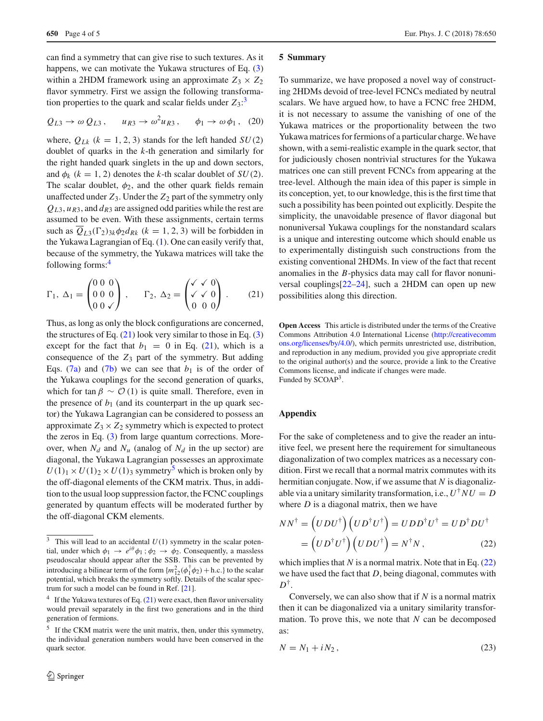can find a symmetry that can give rise to such textures. As it happens, we can motivate the Yukawa structures of Eq. [\(3\)](#page-1-2) within a 2HDM framework using an approximate  $Z_3 \times Z_2$ flavor symmetry. First we assign the following transformation properties to the quark and scalar fields under  $Z_3$  $Z_3$ <sup>2</sup>

$$
Q_{L3} \rightarrow \omega Q_{L3}
$$
,  $u_{R3} \rightarrow \omega^2 u_{R3}$ ,  $\phi_1 \rightarrow \omega \phi_1$ , (20)

where,  $Q_{Lk}$  ( $k = 1, 2, 3$ ) stands for the left handed  $SU(2)$ doublet of quarks in the *k*-th generation and similarly for the right handed quark singlets in the up and down sectors, and  $\phi_k$  ( $k = 1, 2$ ) denotes the *k*-th scalar doublet of *SU*(2). The scalar doublet,  $\phi_2$ , and the other quark fields remain unaffected under  $Z_3$ . Under the  $Z_2$  part of the symmetry only  $Q_{L3}$ ,  $u_{R3}$ , and  $d_{R3}$  are assigned odd parities while the rest are assumed to be even. With these assignments, certain terms such as  $\overline{Q}_{L3}(\Gamma_2)_{3k}\phi_2 d_{Rk}$  ( $k = 1, 2, 3$ ) will be forbidden in the Yukawa Lagrangian of Eq. [\(1\)](#page-0-0). One can easily verify that, because of the symmetry, the Yukawa matrices will take the following forms:[4](#page-3-1)

<span id="page-3-2"></span>
$$
\Gamma_1, \Delta_1 = \begin{pmatrix} 0 & 0 & 0 \\ 0 & 0 & 0 \\ 0 & 0 & \sqrt{2} \end{pmatrix}, \qquad \Gamma_2, \Delta_2 = \begin{pmatrix} \sqrt{\sqrt{0}} \\ \sqrt{\sqrt{0}} \\ 0 & 0 \end{pmatrix}.
$$
 (21)

Thus, as long as only the block configurations are concerned, the structures of Eq.  $(21)$  look very similar to those in Eq.  $(3)$ except for the fact that  $b_1 = 0$  in Eq. [\(21\)](#page-3-2), which is a consequence of the *Z*<sup>3</sup> part of the symmetry. But adding Eqs.  $(7a)$  and  $(7b)$  we can see that  $b<sub>1</sub>$  is of the order of the Yukawa couplings for the second generation of quarks, which for tan  $\beta \sim \mathcal{O}(1)$  is quite small. Therefore, even in the presence of  $b_1$  (and its counterpart in the up quark sector) the Yukawa Lagrangian can be considered to possess an approximate  $Z_3 \times Z_2$  symmetry which is expected to protect the zeros in Eq. [\(3\)](#page-1-2) from large quantum corrections. Moreover, when  $N_d$  and  $N_u$  (analog of  $N_d$  in the up sector) are diagonal, the Yukawa Lagrangian possesses an approximate  $U(1)_1 \times U(1)_2 \times U(1)_3$  symmetry<sup>5</sup> which is broken only by the off-diagonal elements of the CKM matrix. Thus, in addition to the usual loop suppression factor, the FCNC couplings generated by quantum effects will be moderated further by the off-diagonal CKM elements.

#### **5 Summary**

To summarize, we have proposed a novel way of constructing 2HDMs devoid of tree-level FCNCs mediated by neutral scalars. We have argued how, to have a FCNC free 2HDM, it is not necessary to assume the vanishing of one of the Yukawa matrices or the proportionality between the two Yukawa matrices for fermions of a particular charge. We have shown, with a semi-realistic example in the quark sector, that for judiciously chosen nontrivial structures for the Yukawa matrices one can still prevent FCNCs from appearing at the tree-level. Although the main idea of this paper is simple in its conception, yet, to our knowledge, this is the first time that such a possibility has been pointed out explicitly. Despite the simplicity, the unavoidable presence of flavor diagonal but nonuniversal Yukawa couplings for the nonstandard scalars is a unique and interesting outcome which should enable us to experimentally distinguish such constructions from the existing conventional 2HDMs. In view of the fact that recent anomalies in the *B*-physics data may call for flavor nonuniversal couplings[\[22](#page-4-19)[–24\]](#page-4-20), such a 2HDM can open up new possibilities along this direction.

**Open Access** This article is distributed under the terms of the Creative Commons Attribution 4.0 International License [\(http://creativecomm](http://creativecommons.org/licenses/by/4.0/) [ons.org/licenses/by/4.0/\)](http://creativecommons.org/licenses/by/4.0/), which permits unrestricted use, distribution, and reproduction in any medium, provided you give appropriate credit to the original author(s) and the source, provide a link to the Creative Commons license, and indicate if changes were made. Funded by SCOAP<sup>3</sup>.

## **Appendix**

For the sake of completeness and to give the reader an intuitive feel, we present here the requirement for simultaneous diagonalization of two complex matrices as a necessary condition. First we recall that a normal matrix commutes with its hermitian conjugate. Now, if we assume that *N* is diagonalizable via a unitary similarity transformation, i.e.,  $U^{\dagger}NU = D$ where *D* is a diagonal matrix, then we have

<span id="page-3-4"></span>
$$
NN^{\dagger} = (UDU^{\dagger})(UD^{\dagger}U^{\dagger}) = UDD^{\dagger}U^{\dagger} = UD^{\dagger}DU^{\dagger}
$$

$$
= (UD^{\dagger}U^{\dagger})(UDU^{\dagger}) = N^{\dagger}N, \qquad (22)
$$

which implies that  $N$  is a normal matrix. Note that in Eq.  $(22)$ we have used the fact that *D*, being diagonal, commutes with *D*†.

Conversely, we can also show that if *N* is a normal matrix then it can be diagonalized via a unitary similarity transformation. To prove this, we note that *N* can be decomposed as:

<span id="page-3-5"></span>
$$
N = N_1 + iN_2, \qquad (23)
$$

<span id="page-3-0"></span><sup>&</sup>lt;sup>3</sup> This will lead to an accidental  $U(1)$  symmetry in the scalar potential, under which  $\phi_1 \rightarrow e^{i\theta} \phi_1$ ;  $\phi_2 \rightarrow \phi_2$ . Consequently, a massless pseudoscalar should appear after the SSB. This can be prevented by introducing a bilinear term of the form  $\{m_{12}^2(\phi_1^{\dagger}\phi_2)+h.c.\}$  to the scalar potential, which breaks the symmetry softly. Details of the scalar spectrum for such a model can be found in Ref. [\[21](#page-4-18)].

<span id="page-3-1"></span><sup>&</sup>lt;sup>4</sup> If the Yukawa textures of Eq.  $(21)$  were exact, then flavor universality would prevail separately in the first two generations and in the third generation of fermions.

<span id="page-3-3"></span>If the CKM matrix were the unit matrix, then, under this symmetry, the individual generation numbers would have been conserved in the quark sector.